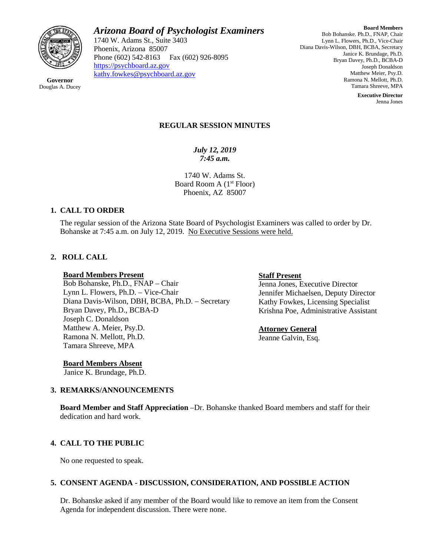

*Arizona Board of Psychologist Examiners*

1740 W. Adams St., Suite 3403 Phoenix, Arizona 85007 Phone (602) 542-8163 Fax (602) 926-8095 [https://psychboard.az.gov](https://psychboard.az.gov/)  [kathy.fowkes@psychboard.az.gov](mailto:kathy.fowkes@psychboard.az.gov)

**Board Members** Bob Bohanske. Ph.D., FNAP, Chair Lynn L. Flowers, Ph.D., Vice-Chair Diana Davis-Wilson, DBH, BCBA, Secretary Janice K. Brundage, Ph.D. Bryan Davey, Ph.D., BCBA-D Joseph Donaldson Matthew Meier, Psy.D. Ramona N. Mellott, Ph.D. Tamara Shreeve, MPA

> **Executive Director** Jenna Jones

### **REGULAR SESSION MINUTES**

*July 12, 2019 7:45 a.m.*

1740 W. Adams St. Board Room A  $(1<sup>st</sup>$  Floor) Phoenix, AZ 85007

### **1. CALL TO ORDER**

The regular session of the Arizona State Board of Psychologist Examiners was called to order by Dr. Bohanske at 7:45 a.m. on July 12, 2019. No Executive Sessions were held.

## **2. ROLL CALL**

#### **Board Members Present**

Bob Bohanske, Ph.D., FNAP – Chair Lynn L. Flowers, Ph.D. – Vice-Chair Diana Davis-Wilson, DBH, BCBA, Ph.D. – Secretary Bryan Davey, Ph.D., BCBA-D Joseph C. Donaldson Matthew A. Meier, Psy.D. Ramona N. Mellott, Ph.D. Tamara Shreeve, MPA

#### **Staff Present**

Jenna Jones, Executive Director Jennifer Michaelsen, Deputy Director Kathy Fowkes, Licensing Specialist Krishna Poe, Administrative Assistant

### **Attorney General**

Jeanne Galvin, Esq.

**Board Members Absent** Janice K. Brundage, Ph.D.

### **3. REMARKS/ANNOUNCEMENTS**

**Board Member and Staff Appreciation** –Dr. Bohanske thanked Board members and staff for their dedication and hard work.

### **4. CALL TO THE PUBLIC**

No one requested to speak.

### **5. CONSENT AGENDA - DISCUSSION, CONSIDERATION, AND POSSIBLE ACTION**

Dr. Bohanske asked if any member of the Board would like to remove an item from the Consent Agenda for independent discussion. There were none.

**Governor** Douglas A. Ducey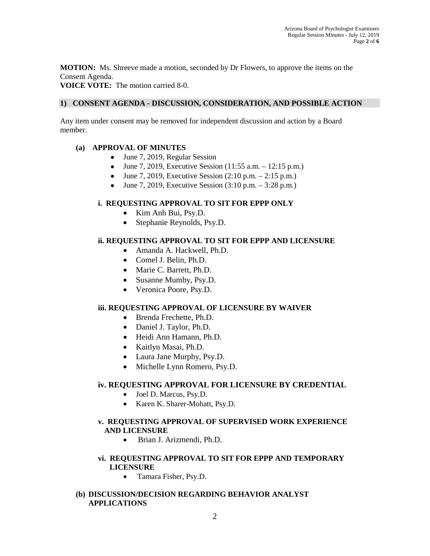**MOTION:** Ms. Shreeve made a motion, seconded by Dr Flowers, to approve the items on the Consent Agenda.

**VOICE VOTE:** The motion carried 8-0.

## **1) CONSENT AGENDA - DISCUSSION, CONSIDERATION, AND POSSIBLE ACTION**

Any item under consent may be removed for independent discussion and action by a Board member.

# **(a) APPROVAL OF MINUTES**

- June 7, 2019, Regular Session
- June 7, 2019, Executive Session  $(11:55 \text{ a.m.} 12:15 \text{ p.m.})$
- June 7, 2019, Executive Session  $(2:10 \text{ p.m.} 2:15 \text{ p.m.})$
- June 7, 2019, Executive Session  $(3:10 \text{ p.m.} 3:28 \text{ p.m.})$

# **i. REQUESTING APPROVAL TO SIT FOR EPPP ONLY**

- Kim Anh Bui, Psy.D.
- Stephanie Reynolds, Psy.D.

# **ii. REQUESTING APPROVAL TO SIT FOR EPPP AND LICENSURE**

- Amanda A. Hackwell, Ph.D.
- Comel J. Belin, Ph.D.
- Marie C. Barrett, Ph.D.
- Susanne Mumby, Psy.D.
- Veronica Poore, Psy.D.

### **iii. REQUESTING APPROVAL OF LICENSURE BY WAIVER**

- Brenda Frechette, Ph.D.
- Daniel J. Taylor, Ph.D.
- Heidi Ann Hamann, Ph.D.
- Kaitlyn Masai, Ph.D.
- Laura Jane Murphy, Psy.D.
- Michelle Lynn Romero, Psy.D.

### **iv. REQUESTING APPROVAL FOR LICENSURE BY CREDENTIAL**

- Joel D. Marcus, Psy.D.
- Karen K. Sharer-Mohatt, Psy.D.

# **v. REQUESTING APPROVAL OF SUPERVISED WORK EXPERIENCE AND LICENSURE**

• Brian J. Arizmendi, Ph.D.

## **vi. REQUESTING APPROVAL TO SIT FOR EPPP AND TEMPORARY LICENSURE**

• Tamara Fisher, Psy.D.

### **(b) DISCUSSION/DECISION REGARDING BEHAVIOR ANALYST APPLICATIONS**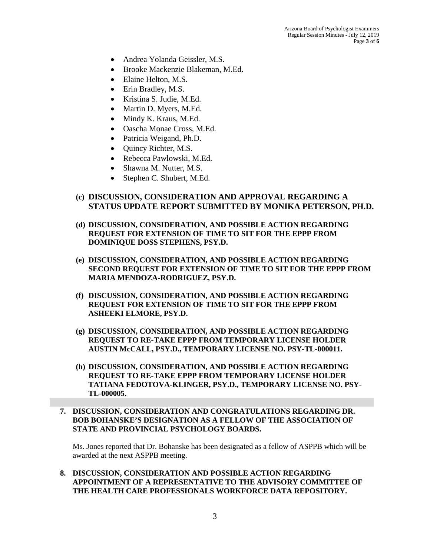- Andrea Yolanda Geissler, M.S.
- Brooke Mackenzie Blakeman, M.Ed.
- Elaine Helton, M.S.
- Erin Bradley, M.S.
- Kristina S. Judie, M.Ed.
- Martin D. Myers, M.Ed.
- Mindy K. Kraus, M.Ed.
- Oascha Monae Cross, M.Ed.
- Patricia Weigand, Ph.D.
- Quincy Richter, M.S.
- Rebecca Pawlowski, M.Ed.
- Shawna M. Nutter, M.S.
- Stephen C. Shubert, M.Ed.
- **(c) DISCUSSION, CONSIDERATION AND APPROVAL REGARDING A STATUS UPDATE REPORT SUBMITTED BY MONIKA PETERSON, PH.D.**
- **(d) DISCUSSION, CONSIDERATION, AND POSSIBLE ACTION REGARDING REQUEST FOR EXTENSION OF TIME TO SIT FOR THE EPPP FROM DOMINIQUE DOSS STEPHENS, PSY.D.**
- **(e) DISCUSSION, CONSIDERATION, AND POSSIBLE ACTION REGARDING SECOND REQUEST FOR EXTENSION OF TIME TO SIT FOR THE EPPP FROM MARIA MENDOZA-RODRIGUEZ, PSY.D.**
- **(f) DISCUSSION, CONSIDERATION, AND POSSIBLE ACTION REGARDING REQUEST FOR EXTENSION OF TIME TO SIT FOR THE EPPP FROM ASHEEKI ELMORE, PSY.D.**
- **(g) DISCUSSION, CONSIDERATION, AND POSSIBLE ACTION REGARDING REQUEST TO RE-TAKE EPPP FROM TEMPORARY LICENSE HOLDER AUSTIN McCALL, PSY.D., TEMPORARY LICENSE NO. PSY-TL-000011.**
- **(h) DISCUSSION, CONSIDERATION, AND POSSIBLE ACTION REGARDING REQUEST TO RE-TAKE EPPP FROM TEMPORARY LICENSE HOLDER TATIANA FEDOTOVA-KLINGER, PSY.D., TEMPORARY LICENSE NO. PSY-TL-000005.**
- **7. DISCUSSION, CONSIDERATION AND CONGRATULATIONS REGARDING DR. BOB BOHANSKE'S DESIGNATION AS A FELLOW OF THE ASSOCIATION OF STATE AND PROVINCIAL PSYCHOLOGY BOARDS.**

Ms. Jones reported that Dr. Bohanske has been designated as a fellow of ASPPB which will be awarded at the next ASPPB meeting.

**8. DISCUSSION, CONSIDERATION AND POSSIBLE ACTION REGARDING APPOINTMENT OF A REPRESENTATIVE TO THE ADVISORY COMMITTEE OF THE HEALTH CARE PROFESSIONALS WORKFORCE DATA REPOSITORY.**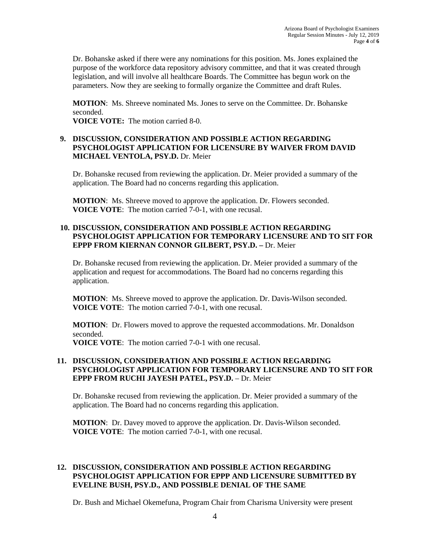Dr. Bohanske asked if there were any nominations for this position. Ms. Jones explained the purpose of the workforce data repository advisory committee, and that it was created through legislation, and will involve all healthcare Boards. The Committee has begun work on the parameters. Now they are seeking to formally organize the Committee and draft Rules.

**MOTION**: Ms. Shreeve nominated Ms. Jones to serve on the Committee. Dr. Bohanske seconded.

**VOICE VOTE:** The motion carried 8-0.

### **9. DISCUSSION, CONSIDERATION AND POSSIBLE ACTION REGARDING PSYCHOLOGIST APPLICATION FOR LICENSURE BY WAIVER FROM DAVID MICHAEL VENTOLA, PSY.D.** Dr. Meier

Dr. Bohanske recused from reviewing the application. Dr. Meier provided a summary of the application. The Board had no concerns regarding this application.

**MOTION**: Ms. Shreeve moved to approve the application. Dr. Flowers seconded. **VOICE VOTE**: The motion carried 7-0-1, with one recusal.

## **10. DISCUSSION, CONSIDERATION AND POSSIBLE ACTION REGARDING PSYCHOLOGIST APPLICATION FOR TEMPORARY LICENSURE AND TO SIT FOR EPPP FROM KIERNAN CONNOR GILBERT, PSY.D. –** Dr. Meier

Dr. Bohanske recused from reviewing the application. Dr. Meier provided a summary of the application and request for accommodations. The Board had no concerns regarding this application.

**MOTION**: Ms. Shreeve moved to approve the application. Dr. Davis-Wilson seconded. **VOICE VOTE**: The motion carried 7-0-1, with one recusal.

**MOTION**: Dr. Flowers moved to approve the requested accommodations. Mr. Donaldson seconded.

**VOICE VOTE**: The motion carried 7-0-1 with one recusal.

### **11. DISCUSSION, CONSIDERATION AND POSSIBLE ACTION REGARDING PSYCHOLOGIST APPLICATION FOR TEMPORARY LICENSURE AND TO SIT FOR EPPP FROM RUCHI JAYESH PATEL, PSY.D.** – Dr. Meier

Dr. Bohanske recused from reviewing the application. Dr. Meier provided a summary of the application. The Board had no concerns regarding this application.

**MOTION**: Dr. Davey moved to approve the application. Dr. Davis-Wilson seconded. **VOICE VOTE**: The motion carried 7-0-1, with one recusal.

### **12. DISCUSSION, CONSIDERATION AND POSSIBLE ACTION REGARDING PSYCHOLOGIST APPLICATION FOR EPPP AND LICENSURE SUBMITTED BY EVELINE BUSH, PSY.D., AND POSSIBLE DENIAL OF THE SAME**

Dr. Bush and Michael Okemefuna, Program Chair from Charisma University were present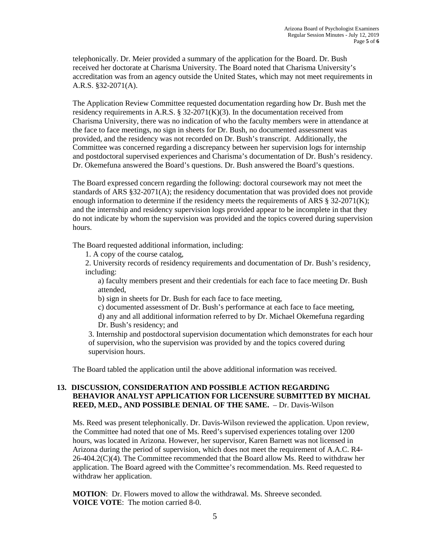telephonically. Dr. Meier provided a summary of the application for the Board. Dr. Bush received her doctorate at Charisma University. The Board noted that Charisma University's accreditation was from an agency outside the United States, which may not meet requirements in A.R.S. §32-2071(A).

The Application Review Committee requested documentation regarding how Dr. Bush met the residency requirements in A.R.S. § 32-2071(K)(3). In the documentation received from Charisma University, there was no indication of who the faculty members were in attendance at the face to face meetings, no sign in sheets for Dr. Bush, no documented assessment was provided, and the residency was not recorded on Dr. Bush's transcript. Additionally, the Committee was concerned regarding a discrepancy between her supervision logs for internship and postdoctoral supervised experiences and Charisma's documentation of Dr. Bush's residency. Dr. Okemefuna answered the Board's questions. Dr. Bush answered the Board's questions.

The Board expressed concern regarding the following: doctoral coursework may not meet the standards of ARS §32-2071(A); the residency documentation that was provided does not provide enough information to determine if the residency meets the requirements of ARS § 32-2071(K); and the internship and residency supervision logs provided appear to be incomplete in that they do not indicate by whom the supervision was provided and the topics covered during supervision hours.

The Board requested additional information, including:

1. A copy of the course catalog,

2. University records of residency requirements and documentation of Dr. Bush's residency, including:

a) faculty members present and their credentials for each face to face meeting Dr. Bush attended,

b) sign in sheets for Dr. Bush for each face to face meeting,

c) documented assessment of Dr. Bush's performance at each face to face meeting, d) any and all additional information referred to by Dr. Michael Okemefuna regarding Dr. Bush's residency; and

3. Internship and postdoctoral supervision documentation which demonstrates for each hour of supervision, who the supervision was provided by and the topics covered during supervision hours.

The Board tabled the application until the above additional information was received.

### **13. DISCUSSION, CONSIDERATION AND POSSIBLE ACTION REGARDING BEHAVIOR ANALYST APPLICATION FOR LICENSURE SUBMITTED BY MICHAL REED, M.ED., AND POSSIBLE DENIAL OF THE SAME.** – Dr. Davis-Wilson

Ms. Reed was present telephonically. Dr. Davis-Wilson reviewed the application. Upon review, the Committee had noted that one of Ms. Reed's supervised experiences totaling over 1200 hours, was located in Arizona. However, her supervisor, Karen Barnett was not licensed in Arizona during the period of supervision, which does not meet the requirement of A.A.C. R4- 26-404.2(C)(4). The Committee recommended that the Board allow Ms. Reed to withdraw her application. The Board agreed with the Committee's recommendation. Ms. Reed requested to withdraw her application.

**MOTION**: Dr. Flowers moved to allow the withdrawal. Ms. Shreeve seconded. **VOICE VOTE**: The motion carried 8-0.